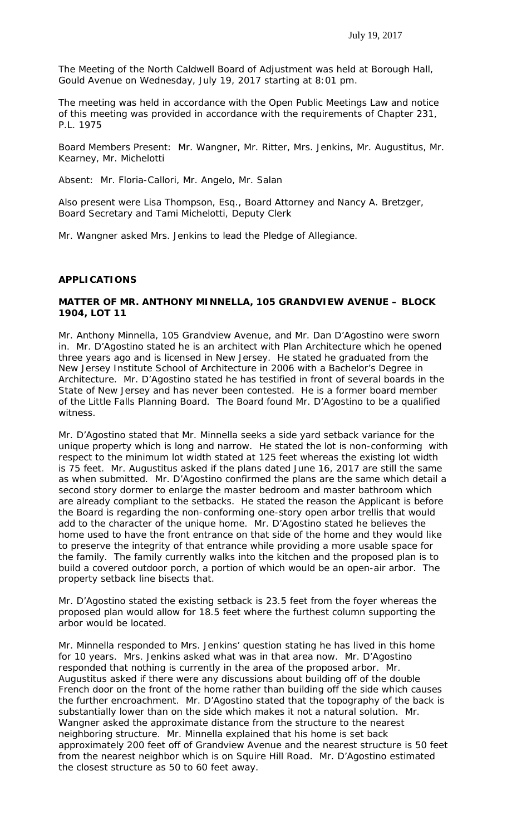The Meeting of the North Caldwell Board of Adjustment was held at Borough Hall, Gould Avenue on Wednesday, July 19, 2017 starting at 8:01 pm.

The meeting was held in accordance with the Open Public Meetings Law and notice of this meeting was provided in accordance with the requirements of Chapter 231, P.L. 1975

Board Members Present: Mr. Wangner, Mr. Ritter, Mrs. Jenkins, Mr. Augustitus, Mr. Kearney, Mr. Michelotti

Absent: Mr. Floria-Callori, Mr. Angelo, Mr. Salan

Also present were Lisa Thompson, Esq., Board Attorney and Nancy A. Bretzger, Board Secretary and Tami Michelotti, Deputy Clerk

Mr. Wangner asked Mrs. Jenkins to lead the Pledge of Allegiance.

#### **APPLICATIONS**

#### **MATTER OF MR. ANTHONY MINNELLA, 105 GRANDVIEW AVENUE – BLOCK 1904, LOT 11**

Mr. Anthony Minnella, 105 Grandview Avenue, and Mr. Dan D'Agostino were sworn in. Mr. D'Agostino stated he is an architect with Plan Architecture which he opened three years ago and is licensed in New Jersey. He stated he graduated from the New Jersey Institute School of Architecture in 2006 with a Bachelor's Degree in Architecture. Mr. D'Agostino stated he has testified in front of several boards in the State of New Jersey and has never been contested. He is a former board member of the Little Falls Planning Board. The Board found Mr. D'Agostino to be a qualified witness.

Mr. D'Agostino stated that Mr. Minnella seeks a side yard setback variance for the unique property which is long and narrow. He stated the lot is non-conforming with respect to the minimum lot width stated at 125 feet whereas the existing lot width is 75 feet. Mr. Augustitus asked if the plans dated June 16, 2017 are still the same as when submitted. Mr. D'Agostino confirmed the plans are the same which detail a second story dormer to enlarge the master bedroom and master bathroom which are already compliant to the setbacks. He stated the reason the Applicant is before the Board is regarding the non-conforming one-story open arbor trellis that would add to the character of the unique home. Mr. D'Agostino stated he believes the home used to have the front entrance on that side of the home and they would like to preserve the integrity of that entrance while providing a more usable space for the family. The family currently walks into the kitchen and the proposed plan is to build a covered outdoor porch, a portion of which would be an open-air arbor. The property setback line bisects that.

Mr. D'Agostino stated the existing setback is 23.5 feet from the foyer whereas the proposed plan would allow for 18.5 feet where the furthest column supporting the arbor would be located.

Mr. Minnella responded to Mrs. Jenkins' question stating he has lived in this home for 10 years. Mrs. Jenkins asked what was in that area now. Mr. D'Agostino responded that nothing is currently in the area of the proposed arbor. Mr. Augustitus asked if there were any discussions about building off of the double French door on the front of the home rather than building off the side which causes the further encroachment. Mr. D'Agostino stated that the topography of the back is substantially lower than on the side which makes it not a natural solution. Mr. Wangner asked the approximate distance from the structure to the nearest neighboring structure. Mr. Minnella explained that his home is set back approximately 200 feet off of Grandview Avenue and the nearest structure is 50 feet from the nearest neighbor which is on Squire Hill Road. Mr. D'Agostino estimated the closest structure as 50 to 60 feet away.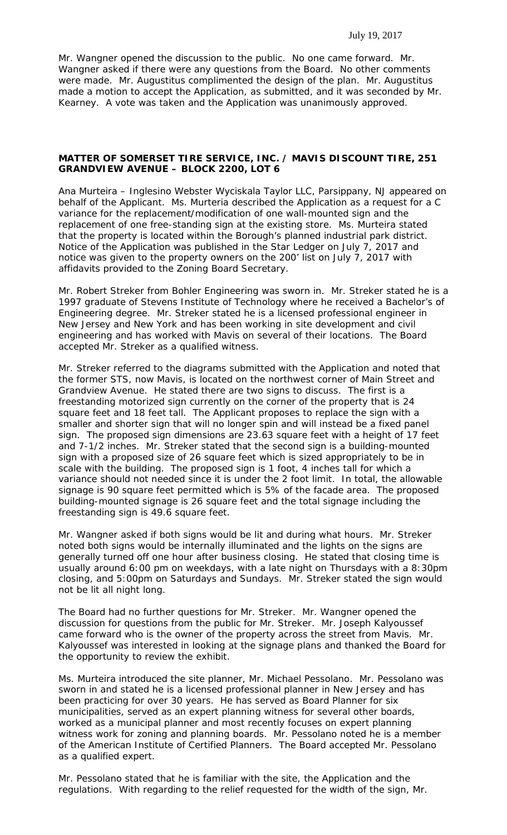#### July 19, 2017

Mr. Wangner opened the discussion to the public. No one came forward. Mr. Wangner asked if there were any questions from the Board. No other comments were made. Mr. Augustitus complimented the design of the plan. Mr. Augustitus made a motion to accept the Application, as submitted, and it was seconded by Mr. Kearney. A vote was taken and the Application was unanimously approved.

# **MATTER OF SOMERSET TIRE SERVICE, INC. / MAVIS DISCOUNT TIRE, 251 GRANDVIEW AVENUE – BLOCK 2200, LOT 6**

Ana Murteira – Inglesino Webster Wyciskala Taylor LLC, Parsippany, NJ appeared on behalf of the Applicant. Ms. Murteria described the Application as a request for a C variance for the replacement/modification of one wall-mounted sign and the replacement of one free-standing sign at the existing store. Ms. Murteira stated that the property is located within the Borough's planned industrial park district. Notice of the Application was published in the Star Ledger on July 7, 2017 and notice was given to the property owners on the 200' list on July 7, 2017 with affidavits provided to the Zoning Board Secretary.

Mr. Robert Streker from Bohler Engineering was sworn in. Mr. Streker stated he is a 1997 graduate of Stevens Institute of Technology where he received a Bachelor's of Engineering degree. Mr. Streker stated he is a licensed professional engineer in New Jersey and New York and has been working in site development and civil engineering and has worked with Mavis on several of their locations. The Board accepted Mr. Streker as a qualified witness.

Mr. Streker referred to the diagrams submitted with the Application and noted that the former STS, now Mavis, is located on the northwest corner of Main Street and Grandview Avenue. He stated there are two signs to discuss. The first is a freestanding motorized sign currently on the corner of the property that is 24 square feet and 18 feet tall. The Applicant proposes to replace the sign with a smaller and shorter sign that will no longer spin and will instead be a fixed panel sign. The proposed sign dimensions are 23.63 square feet with a height of 17 feet and 7-1/2 inches. Mr. Streker stated that the second sign is a building-mounted sign with a proposed size of 26 square feet which is sized appropriately to be in scale with the building. The proposed sign is 1 foot, 4 inches tall for which a variance should not needed since it is under the 2 foot limit. In total, the allowable signage is 90 square feet permitted which is 5% of the facade area. The proposed building-mounted signage is 26 square feet and the total signage including the freestanding sign is 49.6 square feet.

Mr. Wangner asked if both signs would be lit and during what hours. Mr. Streker noted both signs would be internally illuminated and the lights on the signs are generally turned off one hour after business closing. He stated that closing time is usually around 6:00 pm on weekdays, with a late night on Thursdays with a 8:30pm closing, and 5:00pm on Saturdays and Sundays. Mr. Streker stated the sign would not be lit all night long.

The Board had no further questions for Mr. Streker. Mr. Wangner opened the discussion for questions from the public for Mr. Streker. Mr. Joseph Kalyoussef came forward who is the owner of the property across the street from Mavis. Mr. Kalyoussef was interested in looking at the signage plans and thanked the Board for the opportunity to review the exhibit.

Ms. Murteira introduced the site planner, Mr. Michael Pessolano. Mr. Pessolano was sworn in and stated he is a licensed professional planner in New Jersey and has been practicing for over 30 years. He has served as Board Planner for six municipalities, served as an expert planning witness for several other boards, worked as a municipal planner and most recently focuses on expert planning witness work for zoning and planning boards. Mr. Pessolano noted he is a member of the American Institute of Certified Planners. The Board accepted Mr. Pessolano as a qualified expert.

Mr. Pessolano stated that he is familiar with the site, the Application and the regulations. With regarding to the relief requested for the width of the sign, Mr.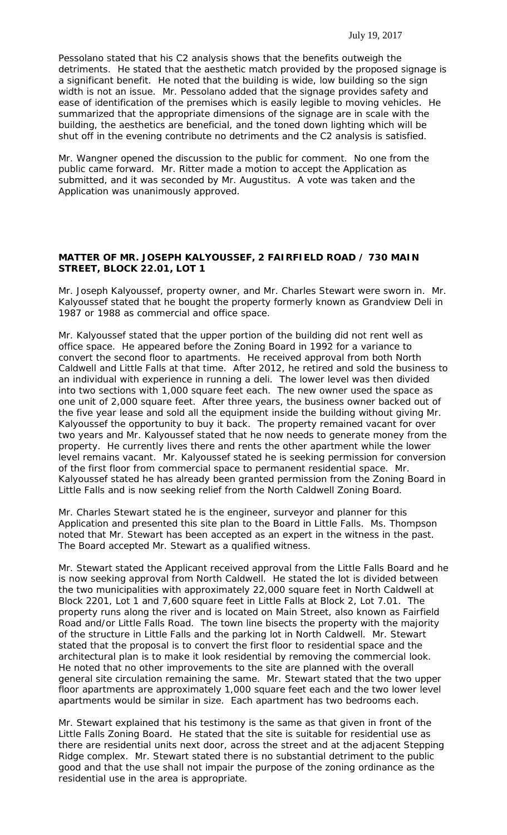Pessolano stated that his C2 analysis shows that the benefits outweigh the detriments. He stated that the aesthetic match provided by the proposed signage is a significant benefit. He noted that the building is wide, low building so the sign width is not an issue. Mr. Pessolano added that the signage provides safety and ease of identification of the premises which is easily legible to moving vehicles. He summarized that the appropriate dimensions of the signage are in scale with the building, the aesthetics are beneficial, and the toned down lighting which will be shut off in the evening contribute no detriments and the C2 analysis is satisfied.

Mr. Wangner opened the discussion to the public for comment. No one from the public came forward. Mr. Ritter made a motion to accept the Application as submitted, and it was seconded by Mr. Augustitus. A vote was taken and the Application was unanimously approved.

## **MATTER OF MR. JOSEPH KALYOUSSEF, 2 FAIRFIELD ROAD / 730 MAIN STREET, BLOCK 22.01, LOT 1**

Mr. Joseph Kalyoussef, property owner, and Mr. Charles Stewart were sworn in. Mr. Kalyoussef stated that he bought the property formerly known as Grandview Deli in 1987 or 1988 as commercial and office space.

Mr. Kalyoussef stated that the upper portion of the building did not rent well as office space. He appeared before the Zoning Board in 1992 for a variance to convert the second floor to apartments. He received approval from both North Caldwell and Little Falls at that time. After 2012, he retired and sold the business to an individual with experience in running a deli. The lower level was then divided into two sections with 1,000 square feet each. The new owner used the space as one unit of 2,000 square feet. After three years, the business owner backed out of the five year lease and sold all the equipment inside the building without giving Mr. Kalyoussef the opportunity to buy it back. The property remained vacant for over two years and Mr. Kalyoussef stated that he now needs to generate money from the property. He currently lives there and rents the other apartment while the lower level remains vacant. Mr. Kalyoussef stated he is seeking permission for conversion of the first floor from commercial space to permanent residential space. Mr. Kalyoussef stated he has already been granted permission from the Zoning Board in Little Falls and is now seeking relief from the North Caldwell Zoning Board.

Mr. Charles Stewart stated he is the engineer, surveyor and planner for this Application and presented this site plan to the Board in Little Falls. Ms. Thompson noted that Mr. Stewart has been accepted as an expert in the witness in the past. The Board accepted Mr. Stewart as a qualified witness.

Mr. Stewart stated the Applicant received approval from the Little Falls Board and he is now seeking approval from North Caldwell. He stated the lot is divided between the two municipalities with approximately 22,000 square feet in North Caldwell at Block 2201, Lot 1 and 7,600 square feet in Little Falls at Block 2, Lot 7.01. The property runs along the river and is located on Main Street, also known as Fairfield Road and/or Little Falls Road. The town line bisects the property with the majority of the structure in Little Falls and the parking lot in North Caldwell. Mr. Stewart stated that the proposal is to convert the first floor to residential space and the architectural plan is to make it look residential by removing the commercial look. He noted that no other improvements to the site are planned with the overall general site circulation remaining the same. Mr. Stewart stated that the two upper floor apartments are approximately 1,000 square feet each and the two lower level apartments would be similar in size. Each apartment has two bedrooms each.

Mr. Stewart explained that his testimony is the same as that given in front of the Little Falls Zoning Board. He stated that the site is suitable for residential use as there are residential units next door, across the street and at the adjacent Stepping Ridge complex. Mr. Stewart stated there is no substantial detriment to the public good and that the use shall not impair the purpose of the zoning ordinance as the residential use in the area is appropriate.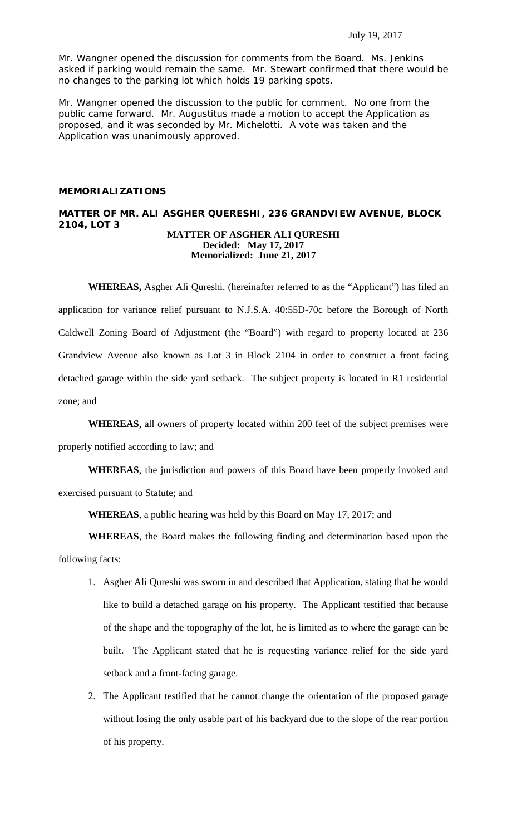Mr. Wangner opened the discussion for comments from the Board. Ms. Jenkins asked if parking would remain the same. Mr. Stewart confirmed that there would be no changes to the parking lot which holds 19 parking spots.

Mr. Wangner opened the discussion to the public for comment. No one from the public came forward. Mr. Augustitus made a motion to accept the Application as proposed, and it was seconded by Mr. Michelotti. A vote was taken and the Application was unanimously approved.

## **MEMORIALIZATIONS**

#### **MATTER OF MR. ALI ASGHER QUERESHI, 236 GRANDVIEW AVENUE, BLOCK 2104, LOT 3 MATTER OF ASGHER ALI QURESHI Decided: May 17, 2017**

**Memorialized: June 21, 2017**

**WHEREAS,** Asgher Ali Qureshi. (hereinafter referred to as the "Applicant") has filed an application for variance relief pursuant to N.J.S.A. 40:55D-70c before the Borough of North Caldwell Zoning Board of Adjustment (the "Board") with regard to property located at 236 Grandview Avenue also known as Lot 3 in Block 2104 in order to construct a front facing detached garage within the side yard setback. The subject property is located in R1 residential zone; and

**WHEREAS**, all owners of property located within 200 feet of the subject premises were properly notified according to law; and

**WHEREAS**, the jurisdiction and powers of this Board have been properly invoked and exercised pursuant to Statute; and

**WHEREAS**, a public hearing was held by this Board on May 17, 2017; and

**WHEREAS**, the Board makes the following finding and determination based upon the following facts:

- 1. Asgher Ali Qureshi was sworn in and described that Application, stating that he would like to build a detached garage on his property. The Applicant testified that because of the shape and the topography of the lot, he is limited as to where the garage can be built. The Applicant stated that he is requesting variance relief for the side yard setback and a front-facing garage.
- 2. The Applicant testified that he cannot change the orientation of the proposed garage without losing the only usable part of his backyard due to the slope of the rear portion of his property.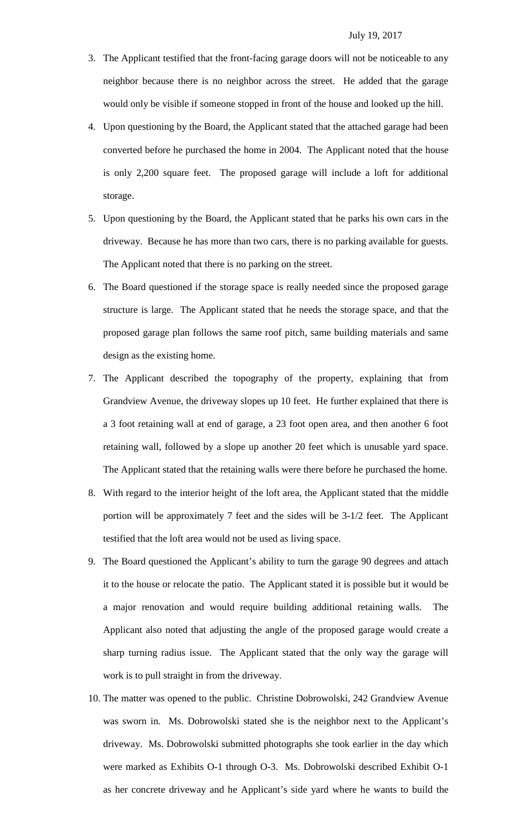- 3. The Applicant testified that the front-facing garage doors will not be noticeable to any neighbor because there is no neighbor across the street. He added that the garage would only be visible if someone stopped in front of the house and looked up the hill.
- 4. Upon questioning by the Board, the Applicant stated that the attached garage had been converted before he purchased the home in 2004. The Applicant noted that the house is only 2,200 square feet. The proposed garage will include a loft for additional storage.
- 5. Upon questioning by the Board, the Applicant stated that he parks his own cars in the driveway. Because he has more than two cars, there is no parking available for guests. The Applicant noted that there is no parking on the street.
- 6. The Board questioned if the storage space is really needed since the proposed garage structure is large. The Applicant stated that he needs the storage space, and that the proposed garage plan follows the same roof pitch, same building materials and same design as the existing home.
- 7. The Applicant described the topography of the property, explaining that from Grandview Avenue, the driveway slopes up 10 feet. He further explained that there is a 3 foot retaining wall at end of garage, a 23 foot open area, and then another 6 foot retaining wall, followed by a slope up another 20 feet which is unusable yard space. The Applicant stated that the retaining walls were there before he purchased the home.
- 8. With regard to the interior height of the loft area, the Applicant stated that the middle portion will be approximately 7 feet and the sides will be 3-1/2 feet. The Applicant testified that the loft area would not be used as living space.
- 9. The Board questioned the Applicant's ability to turn the garage 90 degrees and attach it to the house or relocate the patio. The Applicant stated it is possible but it would be a major renovation and would require building additional retaining walls. The Applicant also noted that adjusting the angle of the proposed garage would create a sharp turning radius issue. The Applicant stated that the only way the garage will work is to pull straight in from the driveway.
- 10. The matter was opened to the public. Christine Dobrowolski, 242 Grandview Avenue was sworn in. Ms. Dobrowolski stated she is the neighbor next to the Applicant's driveway. Ms. Dobrowolski submitted photographs she took earlier in the day which were marked as Exhibits O-1 through O-3. Ms. Dobrowolski described Exhibit O-1 as her concrete driveway and he Applicant's side yard where he wants to build the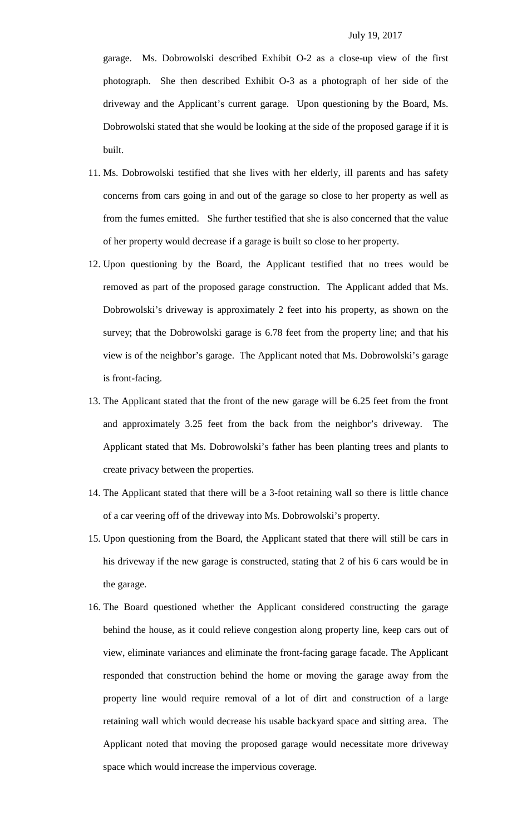garage. Ms. Dobrowolski described Exhibit O-2 as a close-up view of the first photograph. She then described Exhibit O-3 as a photograph of her side of the driveway and the Applicant's current garage. Upon questioning by the Board, Ms. Dobrowolski stated that she would be looking at the side of the proposed garage if it is built.

- 11. Ms. Dobrowolski testified that she lives with her elderly, ill parents and has safety concerns from cars going in and out of the garage so close to her property as well as from the fumes emitted. She further testified that she is also concerned that the value of her property would decrease if a garage is built so close to her property.
- 12. Upon questioning by the Board, the Applicant testified that no trees would be removed as part of the proposed garage construction. The Applicant added that Ms. Dobrowolski's driveway is approximately 2 feet into his property, as shown on the survey; that the Dobrowolski garage is 6.78 feet from the property line; and that his view is of the neighbor's garage. The Applicant noted that Ms. Dobrowolski's garage is front-facing.
- 13. The Applicant stated that the front of the new garage will be 6.25 feet from the front and approximately 3.25 feet from the back from the neighbor's driveway. The Applicant stated that Ms. Dobrowolski's father has been planting trees and plants to create privacy between the properties.
- 14. The Applicant stated that there will be a 3-foot retaining wall so there is little chance of a car veering off of the driveway into Ms. Dobrowolski's property.
- 15. Upon questioning from the Board, the Applicant stated that there will still be cars in his driveway if the new garage is constructed, stating that 2 of his 6 cars would be in the garage.
- 16. The Board questioned whether the Applicant considered constructing the garage behind the house, as it could relieve congestion along property line, keep cars out of view, eliminate variances and eliminate the front-facing garage facade. The Applicant responded that construction behind the home or moving the garage away from the property line would require removal of a lot of dirt and construction of a large retaining wall which would decrease his usable backyard space and sitting area. The Applicant noted that moving the proposed garage would necessitate more driveway space which would increase the impervious coverage.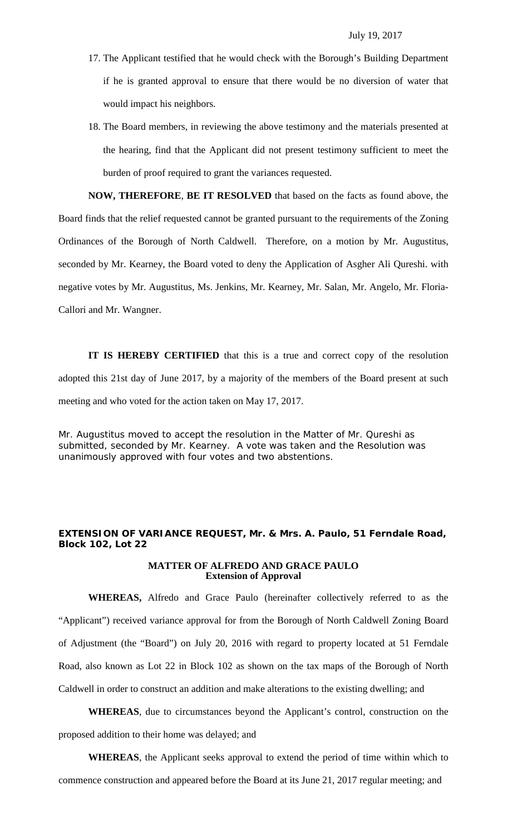- 17. The Applicant testified that he would check with the Borough's Building Department if he is granted approval to ensure that there would be no diversion of water that would impact his neighbors.
- 18. The Board members, in reviewing the above testimony and the materials presented at the hearing, find that the Applicant did not present testimony sufficient to meet the burden of proof required to grant the variances requested.

**NOW, THEREFORE**, **BE IT RESOLVED** that based on the facts as found above, the Board finds that the relief requested cannot be granted pursuant to the requirements of the Zoning Ordinances of the Borough of North Caldwell. Therefore, on a motion by Mr. Augustitus, seconded by Mr. Kearney, the Board voted to deny the Application of Asgher Ali Qureshi. with negative votes by Mr. Augustitus, Ms. Jenkins, Mr. Kearney, Mr. Salan, Mr. Angelo, Mr. Floria-Callori and Mr. Wangner.

**IT IS HEREBY CERTIFIED** that this is a true and correct copy of the resolution adopted this 21st day of June 2017, by a majority of the members of the Board present at such meeting and who voted for the action taken on May 17, 2017.

Mr. Augustitus moved to accept the resolution in the Matter of Mr. Qureshi as submitted, seconded by Mr. Kearney. A vote was taken and the Resolution was unanimously approved with four votes and two abstentions.

# **EXTENSION OF VARIANCE REQUEST, Mr. & Mrs. A. Paulo, 51 Ferndale Road, Block 102, Lot 22**

#### **MATTER OF ALFREDO AND GRACE PAULO Extension of Approval**

**WHEREAS,** Alfredo and Grace Paulo (hereinafter collectively referred to as the "Applicant") received variance approval for from the Borough of North Caldwell Zoning Board of Adjustment (the "Board") on July 20, 2016 with regard to property located at 51 Ferndale Road, also known as Lot 22 in Block 102 as shown on the tax maps of the Borough of North Caldwell in order to construct an addition and make alterations to the existing dwelling; and

**WHEREAS**, due to circumstances beyond the Applicant's control, construction on the proposed addition to their home was delayed; and

**WHEREAS**, the Applicant seeks approval to extend the period of time within which to commence construction and appeared before the Board at its June 21, 2017 regular meeting; and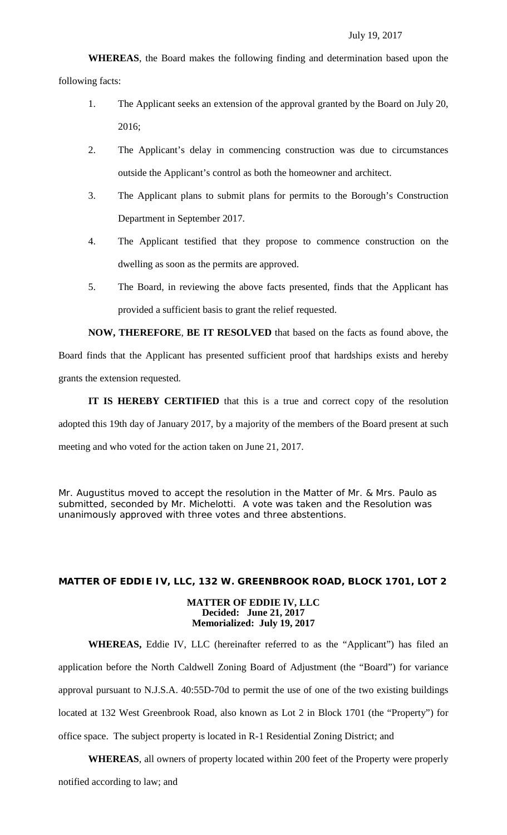**WHEREAS**, the Board makes the following finding and determination based upon the following facts:

- 1. The Applicant seeks an extension of the approval granted by the Board on July 20, 2016;
- 2. The Applicant's delay in commencing construction was due to circumstances outside the Applicant's control as both the homeowner and architect.
- 3. The Applicant plans to submit plans for permits to the Borough's Construction Department in September 2017.
- 4. The Applicant testified that they propose to commence construction on the dwelling as soon as the permits are approved.
- 5. The Board, in reviewing the above facts presented, finds that the Applicant has provided a sufficient basis to grant the relief requested.

**NOW, THEREFORE**, **BE IT RESOLVED** that based on the facts as found above, the Board finds that the Applicant has presented sufficient proof that hardships exists and hereby grants the extension requested.

**IT IS HEREBY CERTIFIED** that this is a true and correct copy of the resolution adopted this 19th day of January 2017, by a majority of the members of the Board present at such meeting and who voted for the action taken on June 21, 2017.

Mr. Augustitus moved to accept the resolution in the Matter of Mr. & Mrs. Paulo as submitted, seconded by Mr. Michelotti. A vote was taken and the Resolution was unanimously approved with three votes and three abstentions.

# **MATTER OF EDDIE IV, LLC, 132 W. GREENBROOK ROAD, BLOCK 1701, LOT 2 MATTER OF EDDIE IV, LLC Decided: June 21, 2017**

# **Memorialized: July 19, 2017**

**WHEREAS,** Eddie IV, LLC (hereinafter referred to as the "Applicant") has filed an application before the North Caldwell Zoning Board of Adjustment (the "Board") for variance approval pursuant to N.J.S.A. 40:55D-70d to permit the use of one of the two existing buildings located at 132 West Greenbrook Road, also known as Lot 2 in Block 1701 (the "Property") for office space. The subject property is located in R-1 Residential Zoning District; and

**WHEREAS**, all owners of property located within 200 feet of the Property were properly notified according to law; and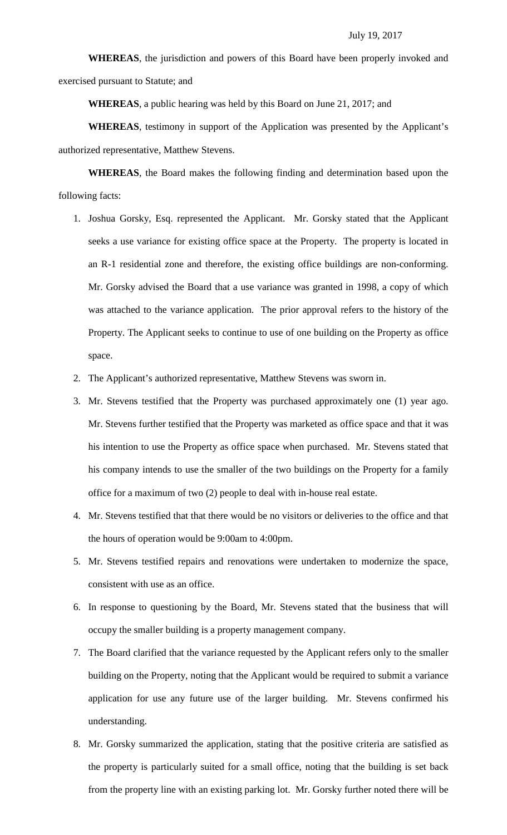**WHEREAS**, the jurisdiction and powers of this Board have been properly invoked and exercised pursuant to Statute; and

**WHEREAS**, a public hearing was held by this Board on June 21, 2017; and

**WHEREAS**, testimony in support of the Application was presented by the Applicant's authorized representative, Matthew Stevens.

**WHEREAS**, the Board makes the following finding and determination based upon the following facts:

- 1. Joshua Gorsky, Esq. represented the Applicant. Mr. Gorsky stated that the Applicant seeks a use variance for existing office space at the Property. The property is located in an R-1 residential zone and therefore, the existing office buildings are non-conforming. Mr. Gorsky advised the Board that a use variance was granted in 1998, a copy of which was attached to the variance application. The prior approval refers to the history of the Property. The Applicant seeks to continue to use of one building on the Property as office space.
- 2. The Applicant's authorized representative, Matthew Stevens was sworn in.
- 3. Mr. Stevens testified that the Property was purchased approximately one (1) year ago. Mr. Stevens further testified that the Property was marketed as office space and that it was his intention to use the Property as office space when purchased. Mr. Stevens stated that his company intends to use the smaller of the two buildings on the Property for a family office for a maximum of two (2) people to deal with in-house real estate.
- 4. Mr. Stevens testified that that there would be no visitors or deliveries to the office and that the hours of operation would be 9:00am to 4:00pm.
- 5. Mr. Stevens testified repairs and renovations were undertaken to modernize the space, consistent with use as an office.
- 6. In response to questioning by the Board, Mr. Stevens stated that the business that will occupy the smaller building is a property management company.
- 7. The Board clarified that the variance requested by the Applicant refers only to the smaller building on the Property, noting that the Applicant would be required to submit a variance application for use any future use of the larger building. Mr. Stevens confirmed his understanding.
- 8. Mr. Gorsky summarized the application, stating that the positive criteria are satisfied as the property is particularly suited for a small office, noting that the building is set back from the property line with an existing parking lot. Mr. Gorsky further noted there will be